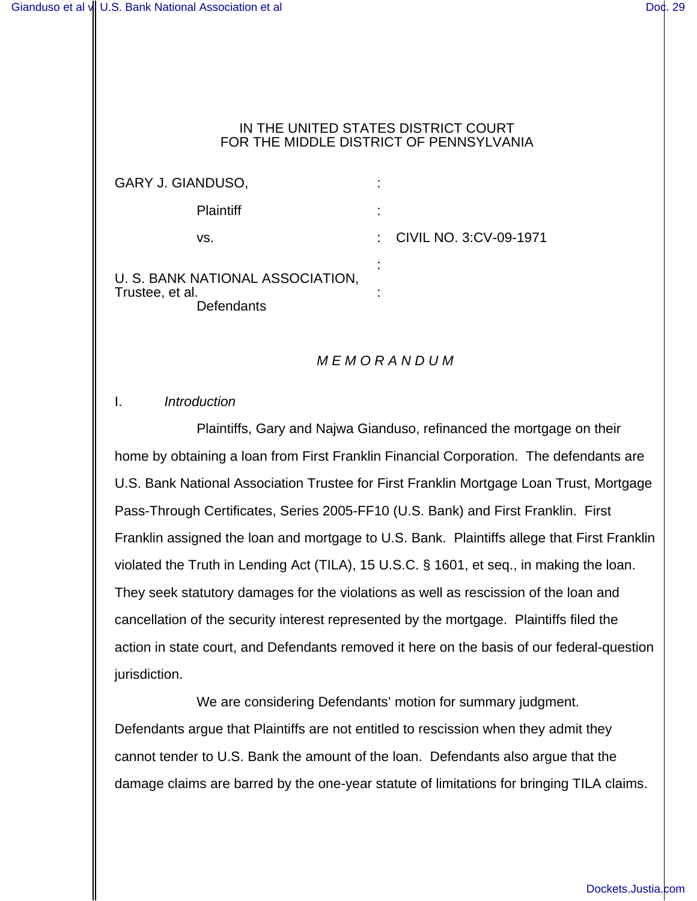#### IN THE UNITED STATES DISTRICT COURT FOR THE MIDDLE DISTRICT OF PENNSYLVANIA

GARY J. GIANDUSO, : Plaintiff : vs. : CIVIL NO. 3:CV-09-1971 : U. S. BANK NATIONAL ASSOCIATION,

Trustee, et al. : **Defendants** 

# *M E M O R A N D U M*

## I. *Introduction*

Plaintiffs, Gary and Najwa Gianduso, refinanced the mortgage on their home by obtaining a loan from First Franklin Financial Corporation. The defendants are U.S. Bank National Association Trustee for First Franklin Mortgage Loan Trust, Mortgage Pass-Through Certificates, Series 2005-FF10 (U.S. Bank) and First Franklin. First Franklin assigned the loan and mortgage to U.S. Bank. Plaintiffs allege that First Franklin violated the Truth in Lending Act (TILA), 15 U.S.C. § 1601, et seq., in making the loan. They seek statutory damages for the violations as well as rescission of the loan and cancellation of the security interest represented by the mortgage. Plaintiffs filed the action in state court, and Defendants removed it here on the basis of our federal-question jurisdiction.

We are considering Defendants' motion for summary judgment. Defendants argue that Plaintiffs are not entitled to rescission when they admit they cannot tender to U.S. Bank the amount of the loan. Defendants also argue that the damage claims are barred by the one-year statute of limitations for bringing TILA claims.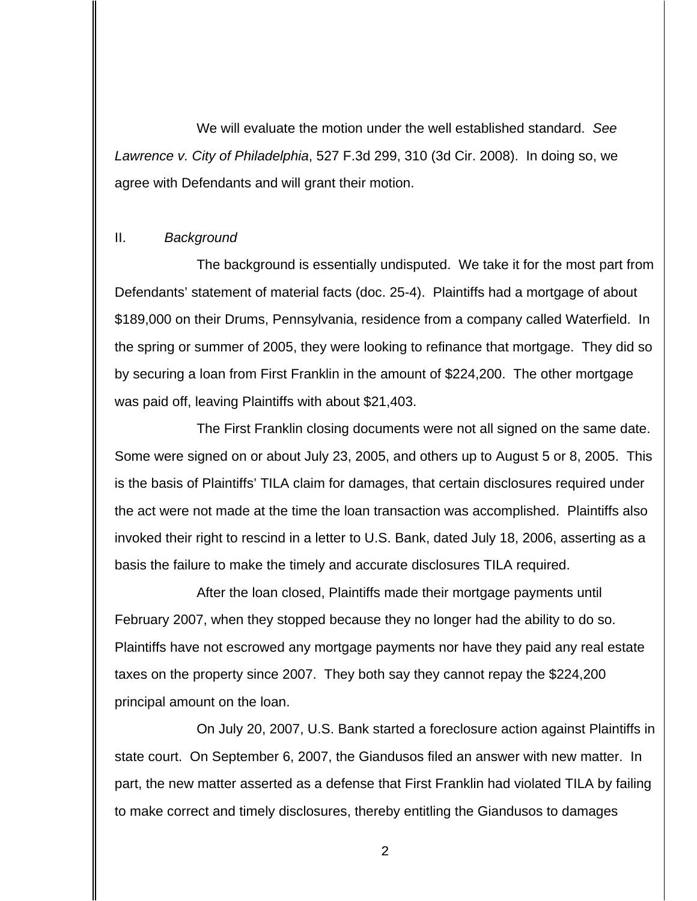We will evaluate the motion under the well established standard. *See Lawrence v. City of Philadelphia*, 527 F.3d 299, 310 (3d Cir. 2008). In doing so, we agree with Defendants and will grant their motion.

### II. *Background*

The background is essentially undisputed. We take it for the most part from Defendants' statement of material facts (doc. 25-4). Plaintiffs had a mortgage of about \$189,000 on their Drums, Pennsylvania, residence from a company called Waterfield. In the spring or summer of 2005, they were looking to refinance that mortgage. They did so by securing a loan from First Franklin in the amount of \$224,200. The other mortgage was paid off, leaving Plaintiffs with about \$21,403.

The First Franklin closing documents were not all signed on the same date. Some were signed on or about July 23, 2005, and others up to August 5 or 8, 2005. This is the basis of Plaintiffs' TILA claim for damages, that certain disclosures required under the act were not made at the time the loan transaction was accomplished. Plaintiffs also invoked their right to rescind in a letter to U.S. Bank, dated July 18, 2006, asserting as a basis the failure to make the timely and accurate disclosures TILA required.

After the loan closed, Plaintiffs made their mortgage payments until February 2007, when they stopped because they no longer had the ability to do so. Plaintiffs have not escrowed any mortgage payments nor have they paid any real estate taxes on the property since 2007. They both say they cannot repay the \$224,200 principal amount on the loan.

On July 20, 2007, U.S. Bank started a foreclosure action against Plaintiffs in state court. On September 6, 2007, the Giandusos filed an answer with new matter. In part, the new matter asserted as a defense that First Franklin had violated TILA by failing to make correct and timely disclosures, thereby entitling the Giandusos to damages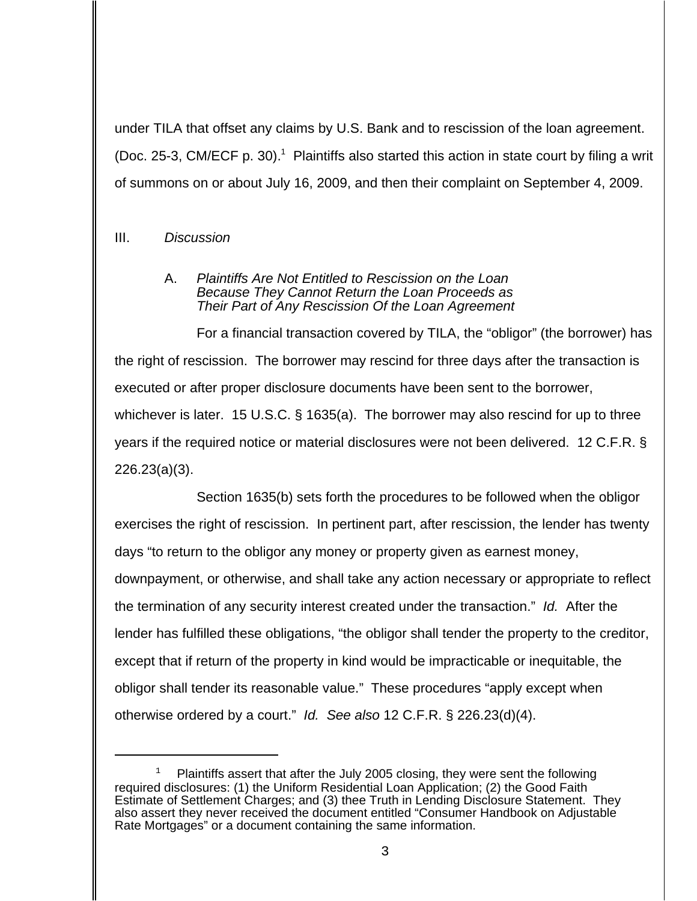under TILA that offset any claims by U.S. Bank and to rescission of the loan agreement. (Doc. 25-3, CM/ECF p. 30).<sup>1</sup> Plaintiffs also started this action in state court by filing a writ of summons on or about July 16, 2009, and then their complaint on September 4, 2009.

# III. *Discussion*

### A. *Plaintiffs Are Not Entitled to Rescission on the Loan Because They Cannot Return the Loan Proceeds as Their Part of Any Rescission Of the Loan Agreement*

For a financial transaction covered by TILA, the "obligor" (the borrower) has the right of rescission. The borrower may rescind for three days after the transaction is executed or after proper disclosure documents have been sent to the borrower, whichever is later. 15 U.S.C. § 1635(a). The borrower may also rescind for up to three years if the required notice or material disclosures were not been delivered. 12 C.F.R. § 226.23(a)(3).

Section 1635(b) sets forth the procedures to be followed when the obligor exercises the right of rescission. In pertinent part, after rescission, the lender has twenty days "to return to the obligor any money or property given as earnest money, downpayment, or otherwise, and shall take any action necessary or appropriate to reflect the termination of any security interest created under the transaction." *Id.* After the lender has fulfilled these obligations, "the obligor shall tender the property to the creditor, except that if return of the property in kind would be impracticable or inequitable, the obligor shall tender its reasonable value." These procedures "apply except when otherwise ordered by a court." *Id. See also* 12 C.F.R. § 226.23(d)(4).

Plaintiffs assert that after the July 2005 closing, they were sent the following required disclosures: (1) the Uniform Residential Loan Application; (2) the Good Faith Estimate of Settlement Charges; and (3) thee Truth in Lending Disclosure Statement. They also assert they never received the document entitled "Consumer Handbook on Adjustable Rate Mortgages" or a document containing the same information.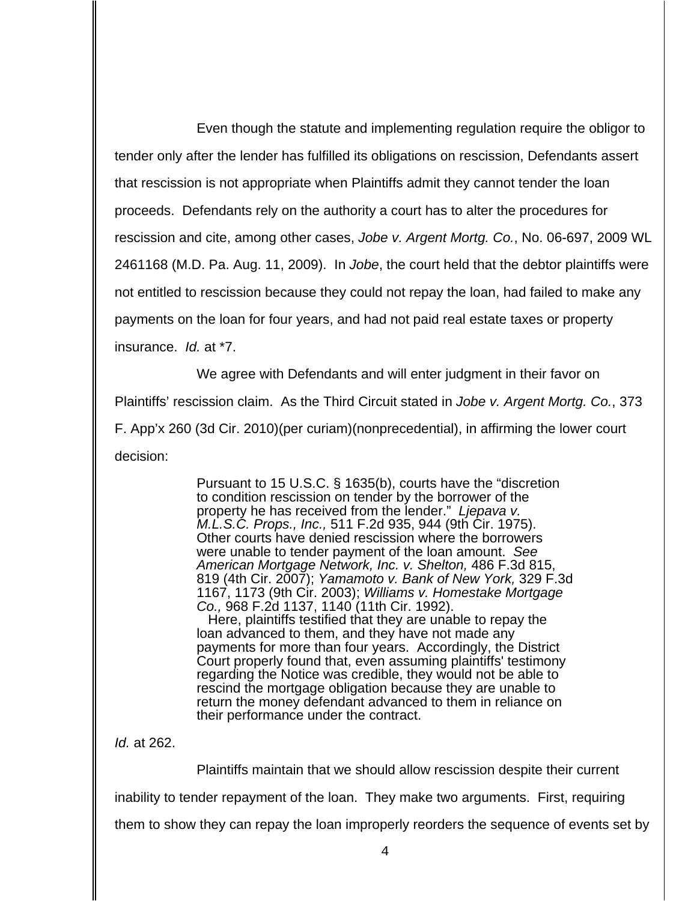Even though the statute and implementing regulation require the obligor to tender only after the lender has fulfilled its obligations on rescission, Defendants assert that rescission is not appropriate when Plaintiffs admit they cannot tender the loan proceeds. Defendants rely on the authority a court has to alter the procedures for rescission and cite, among other cases, *Jobe v. Argent Mortg. Co.*, No. 06-697, 2009 WL 2461168 (M.D. Pa. Aug. 11, 2009). In *Jobe*, the court held that the debtor plaintiffs were not entitled to rescission because they could not repay the loan, had failed to make any payments on the loan for four years, and had not paid real estate taxes or property insurance. *Id.* at \*7.

We agree with Defendants and will enter judgment in their favor on Plaintiffs' rescission claim. As the Third Circuit stated in *Jobe v. Argent Mortg. Co.*, 373 F. App'x 260 (3d Cir. 2010)(per curiam)(nonprecedential), in affirming the lower court decision:

> Pursuant to 15 U.S.C. § 1635(b), courts have the "discretion to condition rescission on tender by the borrower of the property he has received from the lender." *Ljepava v. M.L.S.C. Props., Inc.,* 511 F.2d 935, 944 (9th Cir. 1975). Other courts have denied rescission where the borrowers were unable to tender payment of the loan amount. *See American Mortgage Network, Inc. v. Shelton,* 486 F.3d 815, 819 (4th Cir. 2007); *Yamamoto v. Bank of New York,* 329 F.3d 1167, 1173 (9th Cir. 2003); *Williams v. Homestake Mortgage Co.,* 968 F.2d 1137, 1140 (11th Cir. 1992).

 Here, plaintiffs testified that they are unable to repay the loan advanced to them, and they have not made any payments for more than four years. Accordingly, the District Court properly found that, even assuming plaintiffs' testimony regarding the Notice was credible, they would not be able to rescind the mortgage obligation because they are unable to return the money defendant advanced to them in reliance on their performance under the contract.

*Id.* at 262.

Plaintiffs maintain that we should allow rescission despite their current inability to tender repayment of the loan. They make two arguments. First, requiring them to show they can repay the loan improperly reorders the sequence of events set by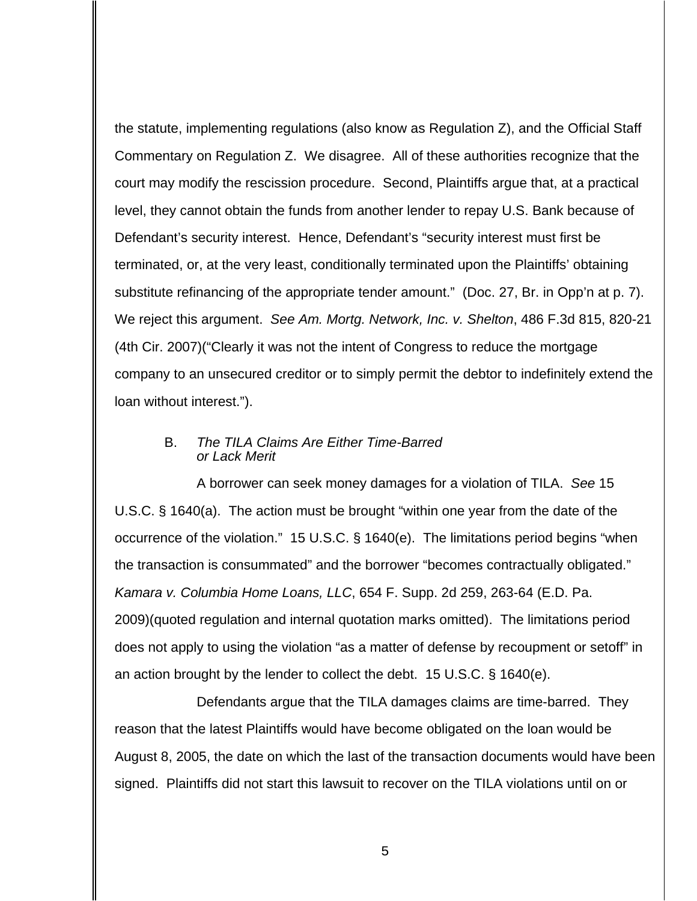the statute, implementing regulations (also know as Regulation Z), and the Official Staff Commentary on Regulation Z. We disagree. All of these authorities recognize that the court may modify the rescission procedure. Second, Plaintiffs argue that, at a practical level, they cannot obtain the funds from another lender to repay U.S. Bank because of Defendant's security interest. Hence, Defendant's "security interest must first be terminated, or, at the very least, conditionally terminated upon the Plaintiffs' obtaining substitute refinancing of the appropriate tender amount." (Doc. 27, Br. in Opp'n at p. 7). We reject this argument. *See Am. Mortg. Network, Inc. v. Shelton*, 486 F.3d 815, 820-21 (4th Cir. 2007)("Clearly it was not the intent of Congress to reduce the mortgage company to an unsecured creditor or to simply permit the debtor to indefinitely extend the loan without interest.").

### B. *The TILA Claims Are Either Time-Barred or Lack Merit*

A borrower can seek money damages for a violation of TILA. *See* 15 U.S.C. § 1640(a). The action must be brought "within one year from the date of the occurrence of the violation." 15 U.S.C. § 1640(e). The limitations period begins "when the transaction is consummated" and the borrower "becomes contractually obligated." *Kamara v. Columbia Home Loans, LLC*, 654 F. Supp. 2d 259, 263-64 (E.D. Pa. 2009)(quoted regulation and internal quotation marks omitted). The limitations period does not apply to using the violation "as a matter of defense by recoupment or setoff" in an action brought by the lender to collect the debt. 15 U.S.C. § 1640(e).

Defendants argue that the TILA damages claims are time-barred. They reason that the latest Plaintiffs would have become obligated on the loan would be August 8, 2005, the date on which the last of the transaction documents would have been signed. Plaintiffs did not start this lawsuit to recover on the TILA violations until on or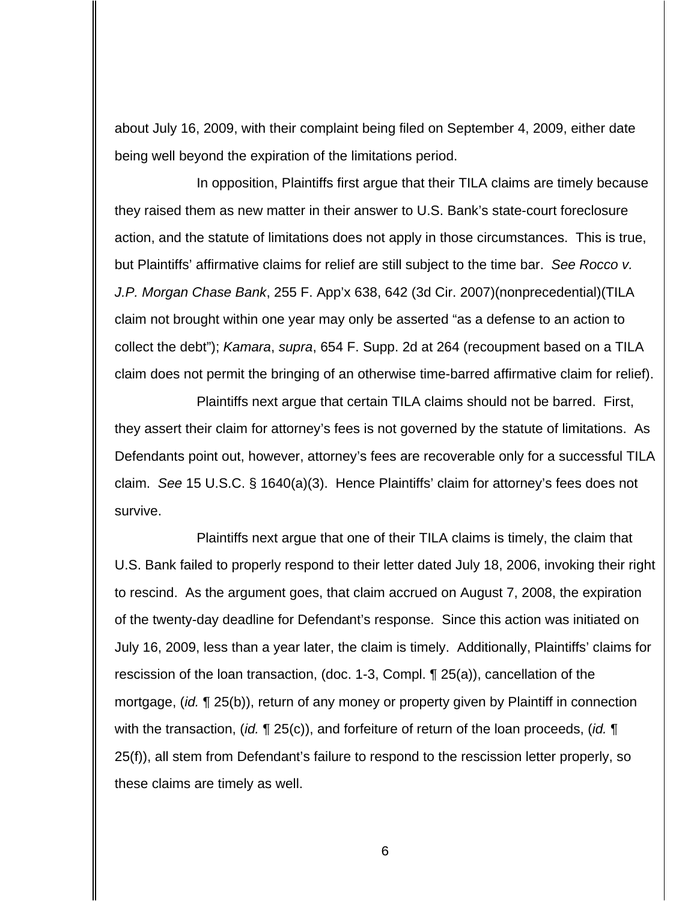about July 16, 2009, with their complaint being filed on September 4, 2009, either date being well beyond the expiration of the limitations period.

In opposition, Plaintiffs first argue that their TILA claims are timely because they raised them as new matter in their answer to U.S. Bank's state-court foreclosure action, and the statute of limitations does not apply in those circumstances. This is true, but Plaintiffs' affirmative claims for relief are still subject to the time bar. *See Rocco v. J.P. Morgan Chase Bank*, 255 F. App'x 638, 642 (3d Cir. 2007)(nonprecedential)(TILA claim not brought within one year may only be asserted "as a defense to an action to collect the debt"); *Kamara*, *supra*, 654 F. Supp. 2d at 264 (recoupment based on a TILA claim does not permit the bringing of an otherwise time-barred affirmative claim for relief).

Plaintiffs next argue that certain TILA claims should not be barred. First, they assert their claim for attorney's fees is not governed by the statute of limitations. As Defendants point out, however, attorney's fees are recoverable only for a successful TILA claim. *See* 15 U.S.C. § 1640(a)(3). Hence Plaintiffs' claim for attorney's fees does not survive.

Plaintiffs next argue that one of their TILA claims is timely, the claim that U.S. Bank failed to properly respond to their letter dated July 18, 2006, invoking their right to rescind. As the argument goes, that claim accrued on August 7, 2008, the expiration of the twenty-day deadline for Defendant's response. Since this action was initiated on July 16, 2009, less than a year later, the claim is timely. Additionally, Plaintiffs' claims for rescission of the loan transaction, (doc. 1-3, Compl. ¶ 25(a)), cancellation of the mortgage, (*id.* ¶ 25(b)), return of any money or property given by Plaintiff in connection with the transaction, (*id.* ¶ 25(c)), and forfeiture of return of the loan proceeds, (*id.* ¶ 25(f)), all stem from Defendant's failure to respond to the rescission letter properly, so these claims are timely as well.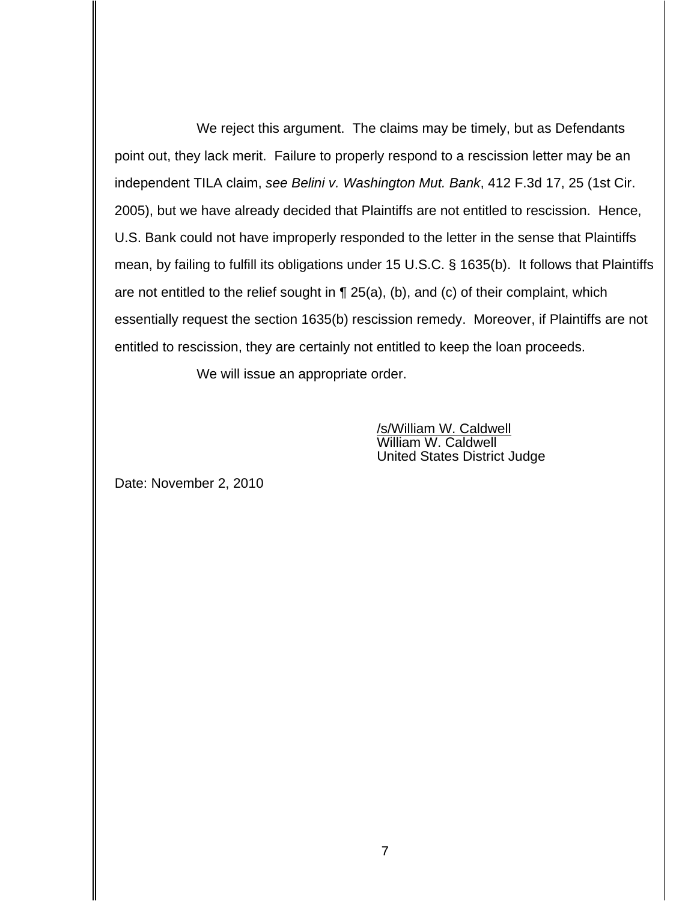We reject this argument. The claims may be timely, but as Defendants point out, they lack merit. Failure to properly respond to a rescission letter may be an independent TILA claim, *see Belini v. Washington Mut. Bank*, 412 F.3d 17, 25 (1st Cir. 2005), but we have already decided that Plaintiffs are not entitled to rescission. Hence, U.S. Bank could not have improperly responded to the letter in the sense that Plaintiffs mean, by failing to fulfill its obligations under 15 U.S.C. § 1635(b). It follows that Plaintiffs are not entitled to the relief sought in ¶ 25(a), (b), and (c) of their complaint, which essentially request the section 1635(b) rescission remedy. Moreover, if Plaintiffs are not entitled to rescission, they are certainly not entitled to keep the loan proceeds.

We will issue an appropriate order.

/s/William W. Caldwell William W. Caldwell United States District Judge

Date: November 2, 2010